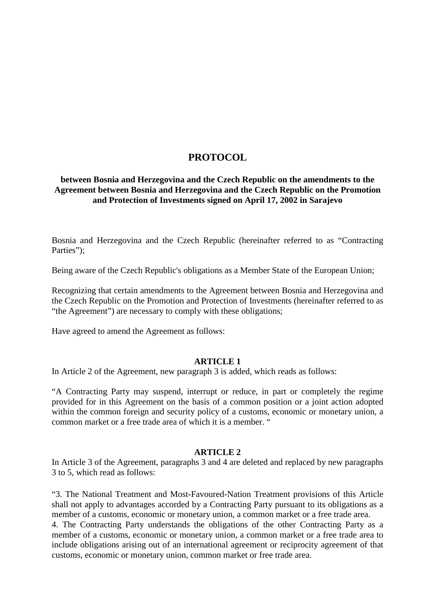# **PROTOCOL**

# **between Bosnia and Herzegovina and the Czech Republic on the amendments to the Agreement between Bosnia and Herzegovina and the Czech Republic on the Promotion and Protection of Investments signed on April 17, 2002 in Sarajevo**

Bosnia and Herzegovina and the Czech Republic (hereinafter referred to as "Contracting Parties");

Being aware of the Czech Republic's obligations as a Member State of the European Union;

Recognizing that certain amendments to the Agreement between Bosnia and Herzegovina and the Czech Republic on the Promotion and Protection of Investments (hereinafter referred to as "the Agreement") are necessary to comply with these obligations;

Have agreed to amend the Agreement as follows:

## **ARTICLE 1**

In Article 2 of the Agreement, new paragraph 3 is added, which reads as follows:

"A Contracting Party may suspend, interrupt or reduce, in part or completely the regime provided for in this Agreement on the basis of a common position or a joint action adopted within the common foreign and security policy of a customs, economic or monetary union, a common market or a free trade area of which it is a member. "

## **ARTICLE 2**

In Article 3 of the Agreement, paragraphs 3 and 4 are deleted and replaced by new paragraphs 3 to 5, which read as follows:

"3. The National Treatment and Most-Favoured-Nation Treatment provisions of this Article shall not apply to advantages accorded by a Contracting Party pursuant to its obligations as a member of a customs, economic or monetary union, a common market or a free trade area.

4. The Contracting Party understands the obligations of the other Contracting Party as a member of a customs, economic or monetary union, a common market or a free trade area to include obligations arising out of an international agreement or reciprocity agreement of that customs, economic or monetary union, common market or free trade area.